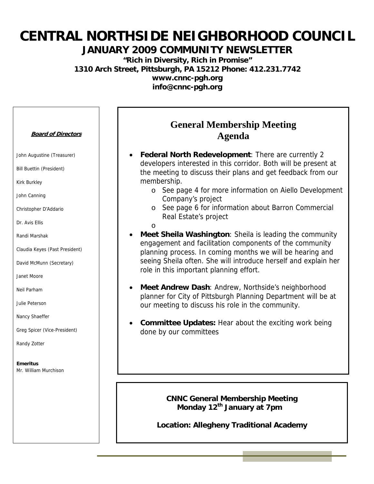# **CENTRAL NORTHSIDE NEIGHBORHOOD COUNCIL**

#### **JANUARY 2009 COMMUNITY NEWSLETTER**

**"Rich in Diversity, Rich in Promise" 1310 Arch Street, Pittsburgh, PA 15212 Phone: 412.231.7742 www.cnnc-pgh.org info@cnnc-pgh.org** 

#### **Board of Directors**

John Augustine (Treasurer)

Bill Buettin (President)

Kirk Burkley

John Canning

Christopher D'Addario

Dr. Avis Ellis

Randi Marshak

Claudia Keyes (Past President)

David McMunn (Secretary)

Janet Moore

Neil Parham

Julie Peterson

Nancy Shaeffer

Greg Spicer (Vice-President)

Randy Zotter

**Emeritus**  Mr. William Murchison

### **General Membership Meeting Agenda**

- **Federal North Redevelopment**: There are currently 2 developers interested in this corridor. Both will be present at the meeting to discuss their plans and get feedback from our membership.
	- o See page 4 for more information on Aiello Development Company's project
	- o See page 6 for information about Barron Commercial Real Estate's project
	- o
- **Meet Sheila Washington**: Sheila is leading the community engagement and facilitation components of the community planning process. In coming months we will be hearing and seeing Sheila often. She will introduce herself and explain her role in this important planning effort.
- **Meet Andrew Dash**: Andrew, Northside's neighborhood planner for City of Pittsburgh Planning Department will be at our meeting to discuss his role in the community.
- **Committee Updates:** Hear about the exciting work being done by our committees

**CNNC General Membership Meeting Monday 12th January at 7pm** 

**Location: Allegheny Traditional Academy**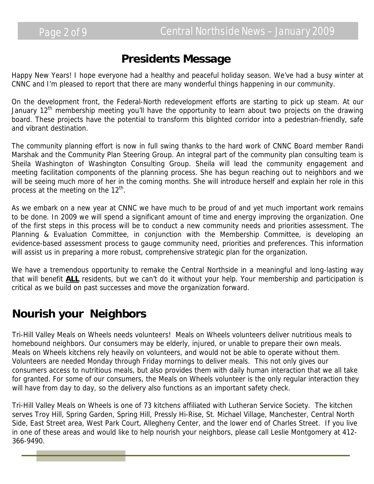## **Presidents Message**

Happy New Years! I hope everyone had a healthy and peaceful holiday season. We've had a busy winter at CNNC and I'm pleased to report that there are many wonderful things happening in our community.

On the development front, the Federal-North redevelopment efforts are starting to pick up steam. At our January 12<sup>th</sup> membership meeting you'll have the opportunity to learn about two projects on the drawing board. These projects have the potential to transform this blighted corridor into a pedestrian-friendly, safe and vibrant destination.

The community planning effort is now in full swing thanks to the hard work of CNNC Board member Randi Marshak and the Community Plan Steering Group. An integral part of the community plan consulting team is Sheila Washington of Washington Consulting Group. Sheila will lead the community engagement and meeting facilitation components of the planning process. She has begun reaching out to neighbors and we will be seeing much more of her in the coming months. She will introduce herself and explain her role in this process at the meeting on the  $12^{th}$ .

As we embark on a new year at CNNC we have much to be proud of and yet much important work remains to be done. In 2009 we will spend a significant amount of time and energy improving the organization. One of the first steps in this process will be to conduct a new community needs and priorities assessment. The Planning & Evaluation Committee, in conjunction with the Membership Committee, is developing an evidence-based assessment process to gauge community need, priorities and preferences. This information will assist us in preparing a more robust, comprehensive strategic plan for the organization.

We have a tremendous opportunity to remake the Central Northside in a meaningful and long-lasting way that will benefit **ALL** residents, but we can't do it without your help. Your membership and participation is critical as we build on past successes and move the organization forward.

# **Nourish your Neighbors**

Tri-Hill Valley Meals on Wheels needs volunteers! Meals on Wheels volunteers deliver nutritious meals to homebound neighbors. Our consumers may be elderly, injured, or unable to prepare their own meals. Meals on Wheels kitchens rely heavily on volunteers, and would not be able to operate without them. Volunteers are needed Monday through Friday mornings to deliver meals. This not only gives our consumers access to nutritious meals, but also provides them with daily human interaction that we all take for granted. For some of our consumers, the Meals on Wheels volunteer is the only regular interaction they will have from day to day, so the delivery also functions as an important safety check.

Tri-Hill Valley Meals on Wheels is one of 73 kitchens affiliated with Lutheran Service Society. The kitchen serves Troy Hill, Spring Garden, Spring Hill, Pressly Hi-Rise, St. Michael Village, Manchester, Central North Side, East Street area, West Park Court, Allegheny Center, and the lower end of Charles Street. If you live in one of these areas and would like to help nourish your neighbors, please call Leslie Montgomery at 412- 366-9490.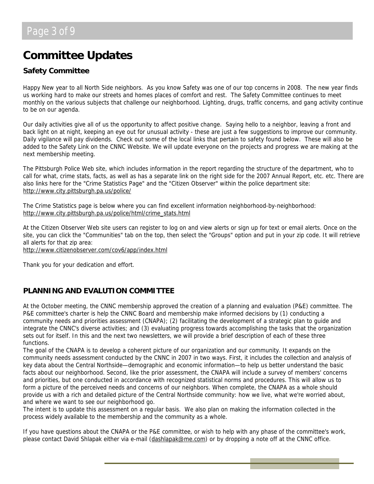# **Committee Updates**

#### **Safety Committee**

Happy New year to all North Side neighbors. As you know Safety was one of our top concerns in 2008. The new year finds us working hard to make our streets and homes places of comfort and rest. The Safety Committee continues to meet monthly on the various subjects that challenge our neighborhood. Lighting, drugs, traffic concerns, and gang activity continue to be on our agenda.

Our daily activities give all of us the opportunity to affect positive change. Saying hello to a neighbor, leaving a front and back light on at night, keeping an eye out for unusual activity - these are just a few suggestions to improve our community. Daily vigilance will pay dividends. Check out some of the local links that pertain to safety found below. These will also be added to the Safety Link on the CNNC Website. We will update everyone on the projects and progress we are making at the next membership meeting.

The Pittsburgh Police Web site, which includes information in the report regarding the structure of the department, who to call for what, crime stats, facts, as well as has a separate link on the right side for the 2007 Annual Report, etc. etc. There are also links here for the "Crime Statistics Page" and the "Citizen Observer" within the police department site: <http://www.city.pittsburgh.pa.us/police/>

[T](http://www.city.pittsburgh.pa.us/police/)he Crime Statistics page is below where you can find excellent information neighborhood-by-neighborhood: [http://www.city.pittsburgh.pa.us/police/html/crime\\_stats.html](http://www.city.pittsburgh.pa.us/police/html/crime_stats.html)

At the Citizen Observer Web site users can register to log on and view alerts or sign up for text or email alerts. Once on the site, you can click the "Communities" tab on the top, then select the "Groups" option and put in your zip code. It will retrieve all alerts for that zip area: <http://www.citizenobserver.com/cov6/app/index.html>

Thank you for your dedication and effort.

#### **PLANNING AND EVALUTION COMMITTEE**

At the October meeting, the CNNC membership approved the creation of a planning and evaluation (P&E) committee. The P&E committee's charter is help the CNNC Board and membership make informed decisions by (1) conducting a community needs and priorities assessment (CNAPA); (2) facilitating the development of a strategic plan to guide and integrate the CNNC's diverse activities; and (3) evaluating progress towards accomplishing the tasks that the organization sets out for itself. In this and the next two newsletters, we will provide a brief description of each of these three functions.

The goal of the CNAPA is to develop a coherent picture of our organization and our community. It expands on the community needs assessment conducted by the CNNC in 2007 in two ways. First, it includes the collection and analysis of key data about the Central Northside—demographic and economic information—to help us better understand the basic facts about our neighborhood. Second, like the prior assessment, the CNAPA will include a survey of members' concerns and priorities, but one conducted in accordance with recognized statistical norms and procedures. This will allow us to form a picture of the perceived needs and concerns of our neighbors. When complete, the CNAPA as a whole should provide us with a rich and detailed picture of the Central Northside community: how we live, what we're worried about, and where we want to see our neighborhood go.

The intent is to update this assessment on a regular basis. We also plan on making the information collected in the process widely available to the membership and the community as a whole.

If you have questions about the CNAPA or the P&E committee, or wish to help with any phase of the committee's work, please contact David Shlapak either via e-mail [\(dashlapak@me.com\)](mailto:dashlapak@me.com) or by dropping a note off at the CNNC office.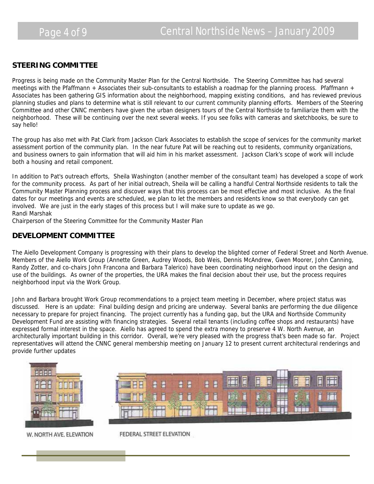#### **STEERING COMMITTEE**

Progress is being made on the Community Master Plan for the Central Northside. The Steering Committee has had several meetings with the Pfaffmann + Associates their sub-consultants to establish a roadmap for the planning process. Pfaffmann + Associates has been gathering GIS information about the neighborhood, mapping existing conditions, and has reviewed previous planning studies and plans to determine what is still relevant to our current community planning efforts. Members of the Steering Committee and other CNNC members have given the urban designers tours of the Central Northside to familiarize them with the neighborhood. These will be continuing over the next several weeks. If you see folks with cameras and sketchbooks, be sure to say hello!

The group has also met with Pat Clark from Jackson Clark Associates to establish the scope of services for the community market assessment portion of the community plan. In the near future Pat will be reaching out to residents, community organizations, and business owners to gain information that will aid him in his market assessment. Jackson Clark's scope of work will include both a housing and retail component.

In addition to Pat's outreach efforts, Sheila Washington (another member of the consultant team) has developed a scope of work for the community process. As part of her initial outreach, Sheila will be calling a handful Central Northside residents to talk the Community Master Planning process and discover ways that this process can be most effective and most inclusive. As the final dates for our meetings and events are scheduled, we plan to let the members and residents know so that everybody can get involved. We are just in the early stages of this process but I will make sure to update as we go. Randi Marshak

Chairperson of the Steering Committee for the Community Master Plan

#### **DEVELOPMENT COMMITTEE**

The Aiello Development Company is progressing with their plans to develop the blighted corner of Federal Street and North Avenue. Members of the Aiello Work Group (Annette Green, Audrey Woods, Bob Weis, Dennis McAndrew, Gwen Moorer, John Canning, Randy Zotter, and co-chairs John Francona and Barbara Talerico) have been coordinating neighborhood input on the design and use of the buildings. As owner of the properties, the URA makes the final decision about their use, but the process requires neighborhood input via the Work Group.

John and Barbara brought Work Group recommendations to a project team meeting in December, where project status was discussed. Here is an update: Final building design and pricing are underway. Several banks are performing the due diligence necessary to prepare for project financing. The project currently has a funding gap, but the URA and Northside Community Development Fund are assisting with financing strategies. Several retail tenants (including coffee shops and restaurants) have expressed formal interest in the space. Aiello has agreed to spend the extra money to preserve 4 W. North Avenue, an architecturally important building in this corridor. Overall, we're very pleased with the progress that's been made so far. Project representatives will attend the CNNC general membership meeting on January 12 to present current architectural renderings and provide further updates



W. NORTH AVE. ELEVATION

FEDERAL STREET ELEVATION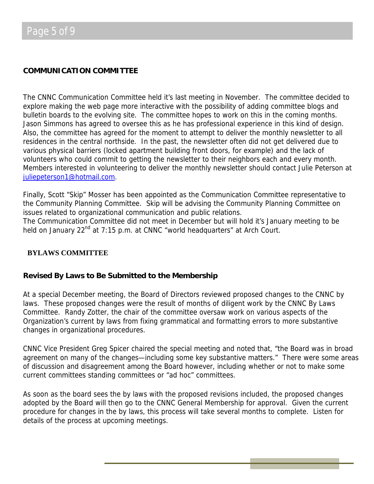#### **COMMUNICATION COMMITTEE**

The CNNC Communication Committee held it's last meeting in November. The committee decided to explore making the web page more interactive with the possibility of adding committee blogs and bulletin boards to the evolving site. The committee hopes to work on this in the coming months. Jason Simmons has agreed to oversee this as he has professional experience in this kind of design. Also, the committee has agreed for the moment to attempt to deliver the monthly newsletter to all residences in the central northside. In the past, the newsletter often did not get delivered due to various physical barriers (locked apartment building front doors, for example) and the lack of volunteers who could commit to getting the newsletter to their neighbors each and every month. Members interested in volunteering to deliver the monthly newsletter should contact Julie Peterson at [juliepeterson1@hotmail.com.](mailto:juliepeterson1@hotmail.com)

Finally, Scott "Skip" Mosser has been appointed as the Communication Committee representative to the Community Planning Committee. Skip will be advising the Community Planning Committee on issues related to organizational communication and public relations.

The Communication Committee did not meet in December but will hold it's January meeting to be held on January 22<sup>nd</sup> at 7:15 p.m. at CNNC "world headquarters" at Arch Court.

#### **BYLAWS COMMITTEE**

#### **Revised By Laws to Be Submitted to the Membership**

At a special December meeting, the Board of Directors reviewed proposed changes to the CNNC by laws. These proposed changes were the result of months of diligent work by the CNNC By Laws Committee. Randy Zotter, the chair of the committee oversaw work on various aspects of the Organization's current by laws from fixing grammatical and formatting errors to more substantive changes in organizational procedures.

CNNC Vice President Greg Spicer chaired the special meeting and noted that, "the Board was in broad agreement on many of the changes—including some key substantive matters." There were some areas of discussion and disagreement among the Board however, including whether or not to make some current committees standing committees or "ad hoc" committees.

As soon as the board sees the by laws with the proposed revisions included, the proposed changes adopted by the Board will then go to the CNNC General Membership for approval. Given the current procedure for changes in the by laws, this process will take several months to complete. Listen for details of the process at upcoming meetings.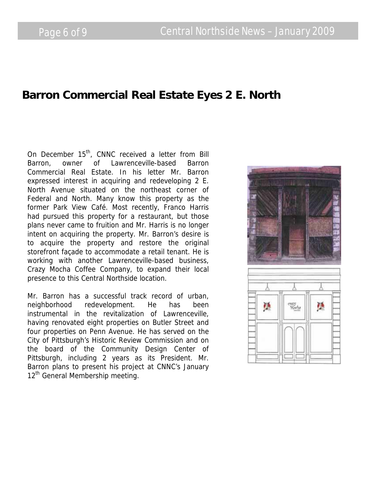### **Barron Commercial Real Estate Eyes 2 E. North**

On December 15<sup>th</sup>, CNNC received a letter from Bill Barron, owner of Lawrenceville-based Barron Commercial Real Estate. In his letter Mr. Barron expressed interest in acquiring and redeveloping 2 E. North Avenue situated on the northeast corner of Federal and North. Many know this property as the former Park View Café. Most recently, Franco Harris had pursued this property for a restaurant, but those plans never came to fruition and Mr. Harris is no longer intent on acquiring the property. Mr. Barron's desire is to acquire the property and restore the original storefront façade to accommodate a retail tenant. He is working with another Lawrenceville-based business, Crazy Mocha Coffee Company, to expand their local presence to this Central Northside location.

Mr. Barron has a successful track record of urban, neighborhood redevelopment. He has been instrumental in the revitalization of Lawrenceville, having renovated eight properties on Butler Street and four properties on Penn Avenue. He has served on the City of Pittsburgh's Historic Review Commission and on the board of the Community Design Center of Pittsburgh, including 2 years as its President. Mr. Barron plans to present his project at CNNC's January 12<sup>th</sup> General Membership meeting.

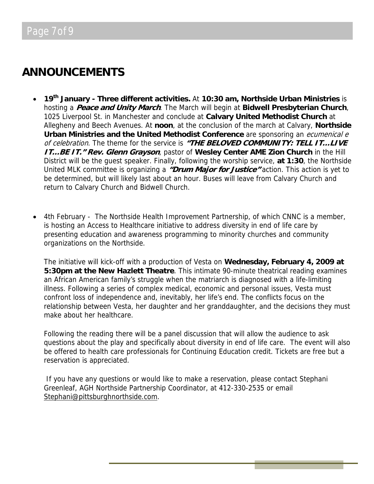## **ANNOUNCEMENTS**

- **19th January Three different activities.** At **10:30 am, Northside Urban Ministries** is hosting a **Peace and Unity March**. The March will begin at **Bidwell Presbyterian Church**, 1025 Liverpool St. in Manchester and conclude at **Calvary United Methodist Church** at Allegheny and Beech Avenues. At **noon**, at the conclusion of the march at Calvary, **Northside Urban Ministries and the United Methodist Conference** are sponsoring an *ecumenical e* of celebration. The theme for the service is **"THE BELOVED COMMUNITY: TELL IT…LIVE IT…BE IT." Rev. Glenn Grayson**, pastor of **Wesley Center AME Zion Church** in the Hill District will be the guest speaker. Finally, following the worship service, **at 1:30**, the Northside United MLK committee is organizing a **"Drum Major for Justice"** action. This action is yet to be determined, but will likely last about an hour. Buses will leave from Calvary Church and return to Calvary Church and Bidwell Church.
- 4th February The Northside Health Improvement Partnership, of which CNNC is a member, is hosting an Access to Healthcare initiative to address diversity in end of life care by presenting education and awareness programming to minority churches and community organizations on the Northside.

The initiative will kick-off with a production of Vesta on **Wednesday, February 4, 2009 at 5:30pm at the New Hazlett Theatre**. This intimate 90-minute theatrical reading examines an African American family's struggle when the matriarch is diagnosed with a life-limiting illness. Following a series of complex medical, economic and personal issues, Vesta must confront loss of independence and, inevitably, her life's end. The conflicts focus on the relationship between Vesta, her daughter and her granddaughter, and the decisions they must make about her healthcare.

Following the reading there will be a panel discussion that will allow the audience to ask questions about the play and specifically about diversity in end of life care. The event will also be offered to health care professionals for Continuing Education credit. Tickets are free but a reservation is appreciated.

If you have any questions or would like to make a reservation, please contact Stephani Greenleaf, AGH Northside Partnership Coordinator, at 412-330-2535 or email [Stephani@pittsburghnorthside.com.](mailto:Stephani@pittsburghnorthside.com)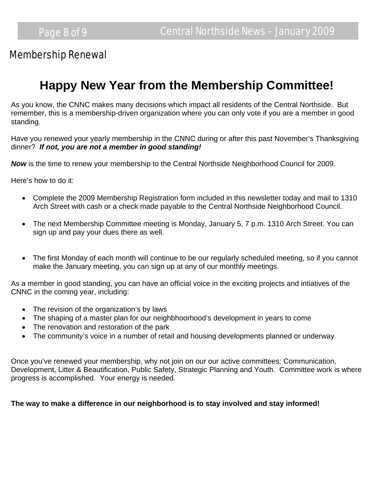### Membership Renewal

# **Happy New Year from the Membership Committee!**

As you know, the CNNC makes many decisions which impact all residents of the Central Northside. But remember, this is a membership-driven organization where you can only vote if you are a member in good standing.

Have you renewed your yearly membership in the CNNC during or after this past November's Thanksgiving dinner? *If not, you are not a member in good standing!* 

*Now* is the time to renew your membership to the Central Northside Neighborhood Council for 2009.

Here's how to do it:

- Complete the 2009 Membership Registration form included in this newsletter today and mail to 1310 Arch Street with cash or a check made payable to the Central Northside Neighborhood Council.
- The next Membership Committee meeting is Monday, January 5, 7 p.m. 1310 Arch Street. You can sign up and pay your dues there as well.
- The first Monday of each month will continue to be our regularly scheduled meeting, so if you cannot make the January meeting, you can sign up at any of our monthly meetings.

As a member in good standing, you can have an official voice in the exciting projects and intiatives of the CNNC in the coming year, including:

- The revision of the organization's by laws
- The shaping of a master plan for our neighbhoorhood's development in years to come
- The renovation and restoration of the park
- The community's voice in a number of retail and housing developments planned or underway

Once you've renewed your membership, why not join on our our active committees: Communication, Development, Litter & Beautification, Public Safety, Strategic Planning and Youth. Committee work is where progress is accomplished. Your energy is needed.

#### **The way to make a difference in our neighborhood is to stay involved and stay informed!**